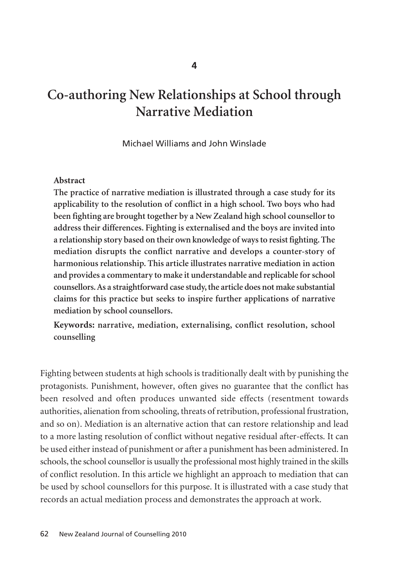# **Co-authoring New Relationships at School through Narrative Mediation**

Michael Williams and John Winslade

#### **Abstract**

**The practice of narrative mediation is illustrated through a case study for its applicability to the resolution of conflict in a high school. Two boys who had been fighting are brought together by a New Zealand high school counsellor to address their differences. Fighting is externalised and the boys are invited into a relationship story based on their own knowledge of ways to resist fighting. The mediation disrupts the conflict narrative and develops a counter-story of harmonious relationship. This article illustrates narrative mediation in action and provides a commentary to make it understandable and replicable for school counsellors. As a straightforward case study, the article does not make substantial claims for this practice but seeks to inspire further applications of narrative mediation by school counsellors.** 

**Keywords: narrative, mediation, externalising, conflict resolution, school counselling**

Fighting between students at high schools is traditionally dealt with by punishing the protagonists. Punishment, however, often gives no guarantee that the conflict has been resolved and often produces unwanted side effects (resentment towards authorities, alienation from schooling, threats of retribution, professional frustration, and so on). Mediation is an alternative action that can restore relationship and lead to a more lasting resolution of conflict without negative residual after-effects. It can be used either instead of punishment or after a punishment has been administered. In schools, the school counsellor is usually the professional most highly trained in the skills of conflict resolution. In this article we highlight an approach to mediation that can be used by school counsellors for this purpose. It is illustrated with a case study that records an actual mediation process and demonstrates the approach at work.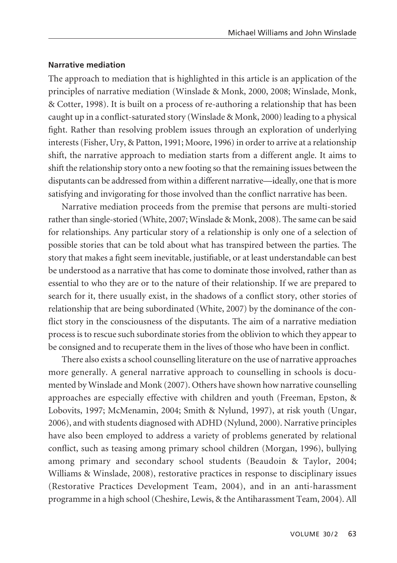## **Narrative mediation**

The approach to mediation that is highlighted in this article is an application of the principles of narrative mediation (Winslade & Monk, 2000, 2008; Winslade, Monk, & Cotter, 1998). It is built on a process of re-authoring a relationship that has been caught up in a conflict-saturated story (Winslade & Monk, 2000) leading to a physical fight. Rather than resolving problem issues through an exploration of underlying interests (Fisher, Ury, & Patton, 1991; Moore, 1996) in order to arrive at a relationship shift, the narrative approach to mediation starts from a different angle. It aims to shift the relationship story onto a new footing so that the remaining issues between the disputants can be addressed from within a different narrative—ideally, one that is more satisfying and invigorating for those involved than the conflict narrative has been.

Narrative mediation proceeds from the premise that persons are multi-storied rather than single-storied (White, 2007; Winslade & Monk, 2008). The same can be said for relationships. Any particular story of a relationship is only one of a selection of possible stories that can be told about what has transpired between the parties. The story that makes a fight seem inevitable, justifiable, or at least understandable can best be understood as a narrative that has come to dominate those involved, rather than as essential to who they are or to the nature of their relationship. If we are prepared to search for it, there usually exist, in the shadows of a conflict story, other stories of relationship that are being subordinated (White, 2007) by the dominance of the conflict story in the consciousness of the disputants. The aim of a narrative mediation process is to rescue such subordinate stories from the oblivion to which they appear to be consigned and to recuperate them in the lives of those who have been in conflict.

There also exists a school counselling literature on the use of narrative approaches more generally. A general narrative approach to counselling in schools is documented by Winslade and Monk (2007). Others have shown how narrative counselling approaches are especially effective with children and youth (Freeman, Epston, & Lobovits, 1997; McMenamin, 2004; Smith & Nylund, 1997), at risk youth (Ungar, 2006), and with students diagnosed with ADHD (Nylund, 2000). Narrative principles have also been employed to address a variety of problems generated by relational conflict, such as teasing among primary school children (Morgan, 1996), bullying among primary and secondary school students (Beaudoin & Taylor, 2004; Williams & Winslade, 2008), restorative practices in response to disciplinary issues (Restorative Practices Development Team, 2004), and in an anti-harassment programme in a high school (Cheshire, Lewis, & the Antiharassment Team, 2004). All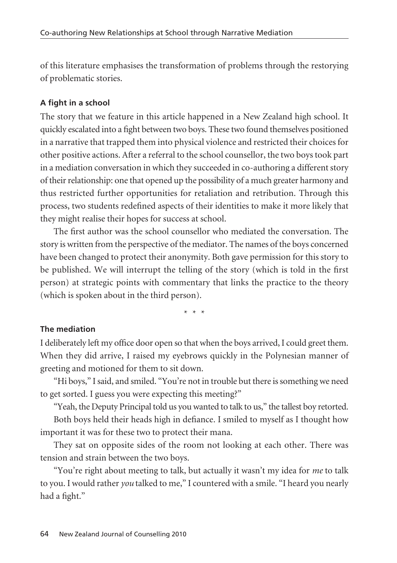of this literature emphasises the transformation of problems through the restorying of problematic stories.

# **A fight in a school**

The story that we feature in this article happened in a New Zealand high school. It quickly escalated into a fight between two boys. These two found themselves positioned in a narrative that trapped them into physical violence and restricted their choices for other positive actions. After a referral to the school counsellor, the two boys took part in a mediation conversation in which they succeeded in co-authoring a different story of their relationship: one that opened up the possibility of a much greater harmony and thus restricted further opportunities for retaliation and retribution. Through this process, two students redefined aspects of their identities to make it more likely that they might realise their hopes for success at school.

The first author was the school counsellor who mediated the conversation. The story is written from the perspective of the mediator. The names of the boys concerned have been changed to protect their anonymity. Both gave permission for this story to be published. We will interrupt the telling of the story (which is told in the first person) at strategic points with commentary that links the practice to the theory (which is spoken about in the third person).

\* \* \*

## **The mediation**

I deliberately left my office door open so that when the boys arrived, I could greet them. When they did arrive, I raised my eyebrows quickly in the Polynesian manner of greeting and motioned for them to sit down.

"Hi boys," I said, and smiled. "You're not in trouble but there is something we need to get sorted. I guess you were expecting this meeting?"

"Yeah, the Deputy Principal told us you wanted to talk to us," the tallest boy retorted. Both boys held their heads high in defiance. I smiled to myself as I thought how important it was for these two to protect their mana.

They sat on opposite sides of the room not looking at each other. There was tension and strain between the two boys.

"You're right about meeting to talk, but actually it wasn't my idea for *me* to talk to you. I would rather *you* talked to me," I countered with a smile. "I heard you nearly had a fight."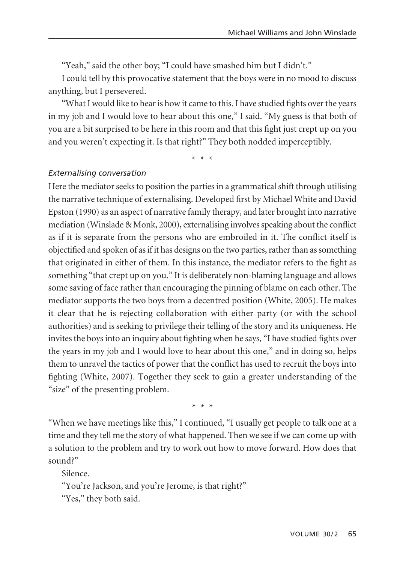"Yeah," said the other boy; "I could have smashed him but I didn't."

I could tell by this provocative statement that the boys were in no mood to discuss anything, but I persevered.

"What I would like to hear is how it came to this. I have studied fights over the years in my job and I would love to hear about this one," I said. "My guess is that both of you are a bit surprised to be here in this room and that this fight just crept up on you and you weren't expecting it. Is that right?" They both nodded imperceptibly.

\* \* \*

## *Externalising conversation*

Here the mediator seeks to position the parties in a grammatical shift through utilising the narrative technique of externalising. Developed first by Michael White and David Epston (1990) as an aspect of narrative family therapy, and later brought into narrative mediation (Winslade & Monk, 2000), externalising involves speaking about the conflict as if it is separate from the persons who are embroiled in it. The conflict itself is objectified and spoken of as if it has designs on the two parties, rather than as something that originated in either of them. In this instance, the mediator refers to the fight as something "that crept up on you." It is deliberately non-blaming language and allows some saving of face rather than encouraging the pinning of blame on each other. The mediator supports the two boys from a decentred position (White, 2005). He makes it clear that he is rejecting collaboration with either party (or with the school authorities) and is seeking to privilege their telling of the story and its uniqueness. He invites the boys into an inquiry about fighting when he says, "I have studied fights over the years in my job and I would love to hear about this one," and in doing so, helps them to unravel the tactics of power that the conflict has used to recruit the boys into fighting (White, 2007). Together they seek to gain a greater understanding of the "size" of the presenting problem.

\* \* \*

"When we have meetings like this," I continued, "I usually get people to talk one at a time and they tell me the story of what happened. Then we see if we can come up with a solution to the problem and try to work out how to move forward. How does that sound?"

Silence.

"You're Jackson, and you're Jerome, is that right?"

"Yes," they both said.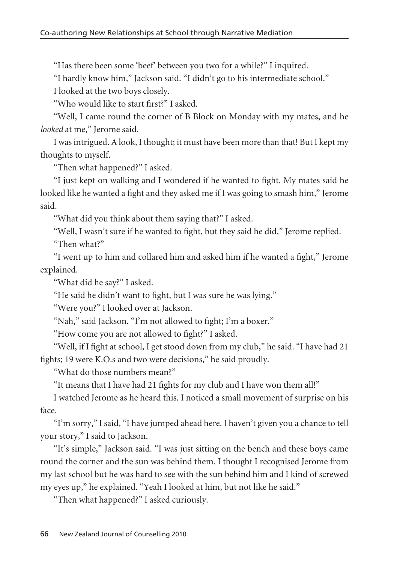"Has there been some 'beef' between you two for a while?" I inquired.

"I hardly know him," Jackson said. "I didn't go to his intermediate school."

I looked at the two boys closely.

"Who would like to start first?" I asked.

"Well, I came round the corner of B Block on Monday with my mates, and he *looked* at me," Jerome said.

I was intrigued. A look, I thought; it must have been more than that! But I kept my thoughts to myself.

"Then what happened?" I asked.

"I just kept on walking and I wondered if he wanted to fight. My mates said he looked like he wanted a fight and they asked me if I was going to smash him," Jerome said.

"What did you think about them saying that?" I asked.

"Well, I wasn't sure if he wanted to fight, but they said he did," Jerome replied. "Then what?"

"I went up to him and collared him and asked him if he wanted a fight," Jerome explained.

"What did he say?" I asked.

"He said he didn't want to fight, but I was sure he was lying."

"Were you?" I looked over at Jackson.

"Nah," said Jackson. "I'm not allowed to fight; I'm a boxer."

"How come you are not allowed to fight?" I asked.

"Well, if I fight at school, I get stood down from my club," he said. "I have had 21 fights; 19 were K.O.s and two were decisions," he said proudly.

"What do those numbers mean?"

"It means that I have had 21 fights for my club and I have won them all!"

I watched Jerome as he heard this. I noticed a small movement of surprise on his face.

"I'm sorry," I said, "I have jumped ahead here. I haven't given you a chance to tell your story," I said to Jackson.

"It's simple," Jackson said. "I was just sitting on the bench and these boys came round the corner and the sun was behind them. I thought I recognised Jerome from my last school but he was hard to see with the sun behind him and I kind of screwed my eyes up," he explained. "Yeah I looked at him, but not like he said."

"Then what happened?" I asked curiously.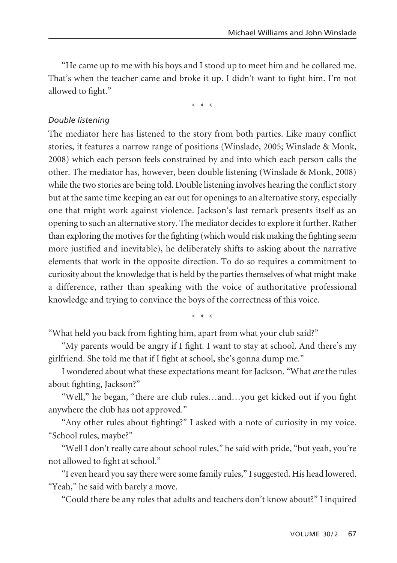"He came up to me with his boys and I stood up to meet him and he collared me. That's when the teacher came and broke it up. I didn't want to fight him. I'm not allowed to fight."

\* \* \*

#### *Double listening*

The mediator here has listened to the story from both parties. Like many conflict stories, it features a narrow range of positions (Winslade, 2005; Winslade & Monk, 2008) which each person feels constrained by and into which each person calls the other. The mediator has, however, been double listening (Winslade & Monk, 2008) while the two stories are being told. Double listening involves hearing the conflict story but at the same time keeping an ear out for openings to an alternative story, especially one that might work against violence. Jackson's last remark presents itself as an opening to such an alternative story. The mediator decides to explore it further. Rather than exploring the motives for the fighting (which would risk making the fighting seem more justified and inevitable), he deliberately shifts to asking about the narrative elements that work in the opposite direction. To do so requires a commitment to curiosity about the knowledge that is held by the parties themselves of what might make a difference, rather than speaking with the voice of authoritative professional knowledge and trying to convince the boys of the correctness of this voice.

\* \* \*

"What held you back from fighting him, apart from what your club said?"

"My parents would be angry if I fight. I want to stay at school. And there's my girlfriend. She told me that if I fight at school, she's gonna dump me."

I wondered about what these expectations meant for Jackson. "What *are*the rules about fighting, Jackson?"

"Well," he began, "there are club rules…and…you get kicked out if you fight anywhere the club has not approved."

"Any other rules about fighting?" I asked with a note of curiosity in my voice. "School rules, maybe?"

"Well I don't really care about school rules," he said with pride, "but yeah, you're not allowed to fight at school."

"I even heard you say there were some family rules," I suggested. His head lowered. "Yeah," he said with barely a move.

"Could there be any rules that adults and teachers don't know about?" I inquired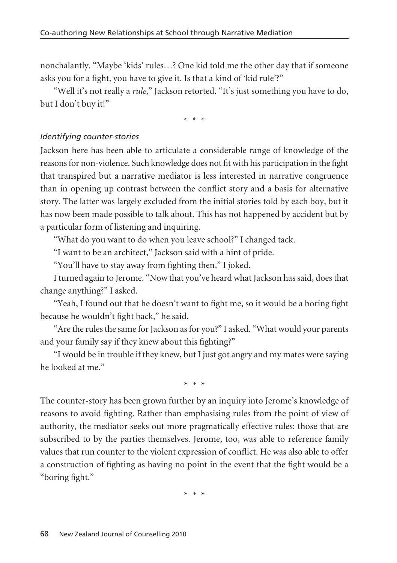nonchalantly. "Maybe 'kids' rules…? One kid told me the other day that if someone asks you for a fight, you have to give it. Is that a kind of 'kid rule'?"

"Well it's not really a *rule*," Jackson retorted. "It's just something you have to do, but I don't buy it!"

\* \* \*

#### *Identifying counter-stories*

Jackson here has been able to articulate a considerable range of knowledge of the reasons for non-violence. Such knowledge does not fit with his participation in the fight that transpired but a narrative mediator is less interested in narrative congruence than in opening up contrast between the conflict story and a basis for alternative story. The latter was largely excluded from the initial stories told by each boy, but it has now been made possible to talk about. This has not happened by accident but by a particular form of listening and inquiring.

"What do you want to do when you leave school?" I changed tack.

"I want to be an architect," Jackson said with a hint of pride.

"You'll have to stay away from fighting then," I joked.

I turned again to Jerome. "Now that you've heard what Jackson has said, does that change anything?" I asked.

"Yeah, I found out that he doesn't want to fight me, so it would be a boring fight because he wouldn't fight back," he said.

"Are the rules the same for Jackson as for you?" I asked. "What would your parents and your family say if they knew about this fighting?"

"I would be in trouble if they knew, but I just got angry and my mates were saying he looked at me."

\* \* \*

The counter-story has been grown further by an inquiry into Jerome's knowledge of reasons to avoid fighting. Rather than emphasising rules from the point of view of authority, the mediator seeks out more pragmatically effective rules: those that are subscribed to by the parties themselves. Jerome, too, was able to reference family values that run counter to the violent expression of conflict. He was also able to offer a construction of fighting as having no point in the event that the fight would be a "boring fight."

\* \* \*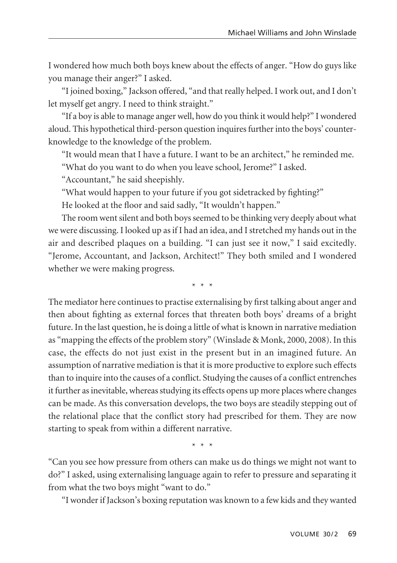I wondered how much both boys knew about the effects of anger. "How do guys like you manage their anger?" I asked.

"I joined boxing," Jackson offered, "and that really helped. I work out, and I don't let myself get angry. I need to think straight."

"If a boy is able to manage anger well, how do you think it would help?" I wondered aloud. This hypothetical third-person question inquires further into the boys' counterknowledge to the knowledge of the problem.

"It would mean that I have a future. I want to be an architect," he reminded me. "What do you want to do when you leave school, Jerome?" I asked.

"Accountant," he said sheepishly.

"What would happen to your future if you got sidetracked by fighting?"

He looked at the floor and said sadly, "It wouldn't happen."

The room went silent and both boys seemed to be thinking very deeply about what we were discussing. I looked up as if I had an idea, and I stretched my hands out in the air and described plaques on a building. "I can just see it now," I said excitedly. "Jerome, Accountant, and Jackson, Architect!" They both smiled and I wondered whether we were making progress.

\* \* \*

The mediator here continues to practise externalising by first talking about anger and then about fighting as external forces that threaten both boys' dreams of a bright future. In the last question, he is doing a little of what is known in narrative mediation as "mapping the effects of the problem story" (Winslade & Monk, 2000, 2008). In this case, the effects do not just exist in the present but in an imagined future. An assumption of narrative mediation is that it is more productive to explore such effects than to inquire into the causes of a conflict. Studying the causes of a conflict entrenches it further as inevitable, whereas studying its effects opens up more places where changes can be made. As this conversation develops, the two boys are steadily stepping out of the relational place that the conflict story had prescribed for them. They are now starting to speak from within a different narrative.

\* \* \*

"Can you see how pressure from others can make us do things we might not want to do?" I asked, using externalising language again to refer to pressure and separating it from what the two boys might "want to do."

"I wonder if Jackson's boxing reputation was known to a few kids and they wanted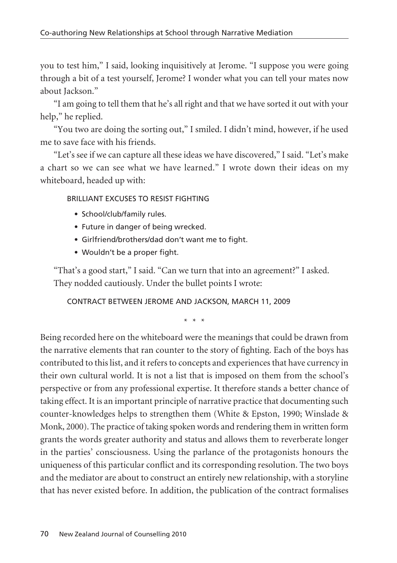you to test him," I said, looking inquisitively at Jerome. "I suppose you were going through a bit of a test yourself, Jerome? I wonder what you can tell your mates now about Jackson."

"I am going to tell them that he's all right and that we have sorted it out with your help," he replied.

"You two are doing the sorting out," I smiled. I didn't mind, however, if he used me to save face with his friends.

"Let's see if we can capture all these ideas we have discovered," I said. "Let's make a chart so we can see what we have learned." I wrote down their ideas on my whiteboard, headed up with:

#### BRILLIANT EXCUSES TO RESIST FIGHTING

- School/club/family rules.
- Future in danger of being wrecked.
- Girlfriend/brothers/dad don't want me to fight.
- Wouldn't be a proper fight.

"That's a good start," I said. "Can we turn that into an agreement?" I asked. They nodded cautiously. Under the bullet points I wrote:

CONTRACT BETWEEN JEROME AND JACKSON, MARCH 11, 2009

\* \* \*

Being recorded here on the whiteboard were the meanings that could be drawn from the narrative elements that ran counter to the story of fighting. Each of the boys has contributed to this list, and it refers to concepts and experiences that have currency in their own cultural world. It is not a list that is imposed on them from the school's perspective or from any professional expertise. It therefore stands a better chance of taking effect. It is an important principle of narrative practice that documenting such counter-knowledges helps to strengthen them (White & Epston, 1990; Winslade & Monk, 2000). The practice of taking spoken words and rendering them in written form grants the words greater authority and status and allows them to reverberate longer in the parties' consciousness. Using the parlance of the protagonists honours the uniqueness of this particular conflict and its corresponding resolution. The two boys and the mediator are about to construct an entirely new relationship, with a storyline that has never existed before. In addition, the publication of the contract formalises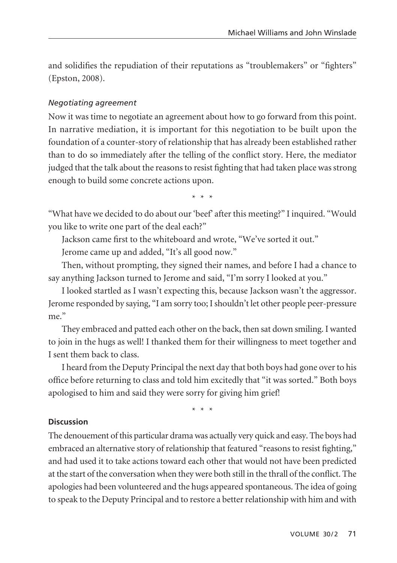and solidifies the repudiation of their reputations as "troublemakers" or "fighters" (Epston, 2008).

# *Negotiating agreement*

Now it was time to negotiate an agreement about how to go forward from this point. In narrative mediation, it is important for this negotiation to be built upon the foundation of a counter-story of relationship that has already been established rather than to do so immediately after the telling of the conflict story. Here, the mediator judged that the talk about the reasons to resist fighting that had taken place was strong enough to build some concrete actions upon.

\* \* \*

"What have we decided to do about our 'beef' after this meeting?" I inquired. "Would you like to write one part of the deal each?"

Jackson came first to the whiteboard and wrote, "We've sorted it out."

Jerome came up and added, "It's all good now."

Then, without prompting, they signed their names, and before I had a chance to say anything Jackson turned to Jerome and said, "I'm sorry I looked at you."

I looked startled as I wasn't expecting this, because Jackson wasn't the aggressor. Jerome responded by saying, "I am sorry too; I shouldn't let other people peer-pressure me"

They embraced and patted each other on the back, then sat down smiling. I wanted to join in the hugs as well! I thanked them for their willingness to meet together and I sent them back to class.

I heard from the Deputy Principal the next day that both boys had gone over to his office before returning to class and told him excitedly that "it was sorted." Both boys apologised to him and said they were sorry for giving him grief!

\* \* \*

## **Discussion**

The denouement of this particular drama was actually very quick and easy. The boys had embraced an alternative story of relationship that featured "reasons to resist fighting," and had used it to take actions toward each other that would not have been predicted at the start of the conversation when they were both still in the thrall of the conflict. The apologies had been volunteered and the hugs appeared spontaneous. The idea of going to speak to the Deputy Principal and to restore a better relationship with him and with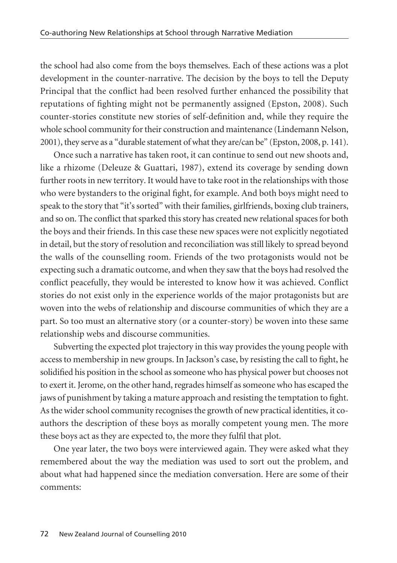the school had also come from the boys themselves. Each of these actions was a plot development in the counter-narrative. The decision by the boys to tell the Deputy Principal that the conflict had been resolved further enhanced the possibility that reputations of fighting might not be permanently assigned (Epston, 2008). Such counter-stories constitute new stories of self-definition and, while they require the whole school community for their construction and maintenance (Lindemann Nelson, 2001), they serve as a "durable statement of what they are/can be" (Epston, 2008, p. 141).

Once such a narrative has taken root, it can continue to send out new shoots and, like a rhizome (Deleuze & Guattari, 1987), extend its coverage by sending down further roots in new territory. It would have to take root in the relationships with those who were bystanders to the original fight, for example. And both boys might need to speak to the story that "it's sorted" with their families, girlfriends, boxing club trainers, and so on. The conflict that sparked this story has created new relational spaces for both the boys and their friends. In this case these new spaces were not explicitly negotiated in detail, but the story of resolution and reconciliation was still likely to spread beyond the walls of the counselling room. Friends of the two protagonists would not be expecting such a dramatic outcome, and when they saw that the boys had resolved the conflict peacefully, they would be interested to know how it was achieved. Conflict stories do not exist only in the experience worlds of the major protagonists but are woven into the webs of relationship and discourse communities of which they are a part. So too must an alternative story (or a counter-story) be woven into these same relationship webs and discourse communities.

Subverting the expected plot trajectory in this way provides the young people with access to membership in new groups. In Jackson's case, by resisting the call to fight, he solidified his position in the school as someone who has physical power but chooses not to exert it. Jerome, on the other hand, regrades himself as someone who has escaped the jaws of punishment by taking a mature approach and resisting the temptation to fight. As the wider school community recognises the growth of new practical identities, it coauthors the description of these boys as morally competent young men. The more these boys act as they are expected to, the more they fulfil that plot.

One year later, the two boys were interviewed again. They were asked what they remembered about the way the mediation was used to sort out the problem, and about what had happened since the mediation conversation. Here are some of their comments: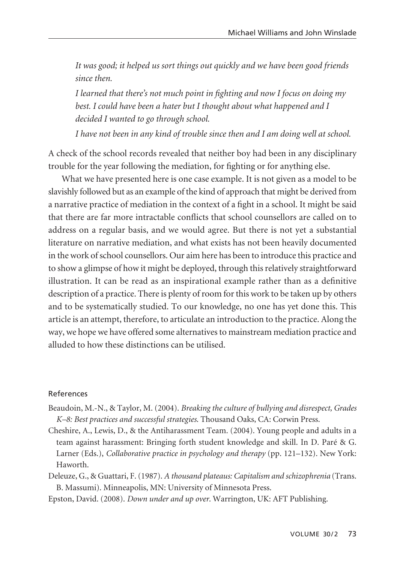*It was good; it helped us sort things out quickly and we have been good friends since then.*

*I learned that there's not much point in fighting and now I focus on doing my best. I could have been a hater but I thought about what happened and I decided I wanted to go through school.*

*I have not been in any kind of trouble since then and I am doing well at school.*

A check of the school records revealed that neither boy had been in any disciplinary trouble for the year following the mediation, for fighting or for anything else.

What we have presented here is one case example. It is not given as a model to be slavishly followed but as an example of the kind of approach that might be derived from a narrative practice of mediation in the context of a fight in a school. It might be said that there are far more intractable conflicts that school counsellors are called on to address on a regular basis, and we would agree. But there is not yet a substantial literature on narrative mediation, and what exists has not been heavily documented in the work of school counsellors. Our aim here has been to introduce this practice and to show a glimpse of how it might be deployed, through this relatively straightforward illustration. It can be read as an inspirational example rather than as a definitive description of a practice. There is plenty of room for this work to be taken up by others and to be systematically studied. To our knowledge, no one has yet done this. This article is an attempt, therefore, to articulate an introduction to the practice. Along the way, we hope we have offered some alternatives to mainstream mediation practice and alluded to how these distinctions can be utilised.

#### References

- Beaudoin, M.-N., & Taylor, M. (2004). *Breaking the culture of bullying and disrespect, Grades K–8: Best practices and successful strategies*. Thousand Oaks, CA: Corwin Press.
- Cheshire, A., Lewis, D., & the Antiharassment Team. (2004). Young people and adults in a team against harassment: Bringing forth student knowledge and skill. In D. Paré & G. Larner (Eds.), *Collaborative practice in psychology and therapy* (pp. 121–132). New York: Haworth.
- Deleuze, G., & Guattari, F. (1987). *A thousand plateaus: Capitalism and schizophrenia* (Trans. B. Massumi). Minneapolis, MN: University of Minnesota Press.
- Epston, David. (2008). *Down under and up over*. Warrington, UK: AFT Publishing.